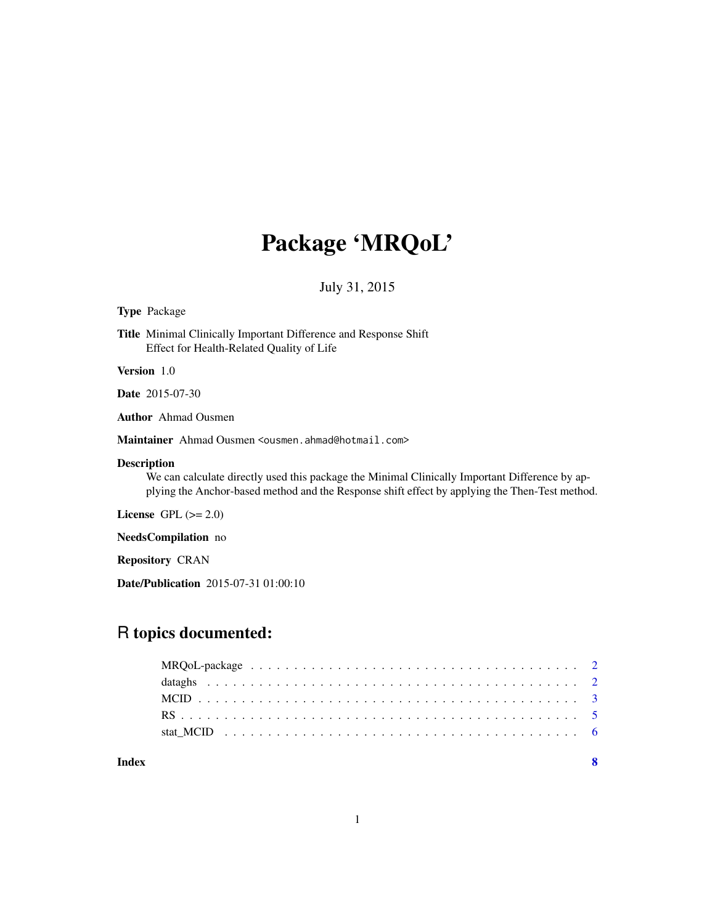# Package 'MRQoL'

July 31, 2015

# Type Package

Title Minimal Clinically Important Difference and Response Shift Effect for Health-Related Quality of Life

Version 1.0

Date 2015-07-30

Author Ahmad Ousmen

Maintainer Ahmad Ousmen <ousmen.ahmad@hotmail.com>

# Description

We can calculate directly used this package the Minimal Clinically Important Difference by applying the Anchor-based method and the Response shift effect by applying the Then-Test method.

License GPL  $(>= 2.0)$ 

NeedsCompilation no

Repository CRAN

Date/Publication 2015-07-31 01:00:10

# R topics documented:

#### **Index** [8](#page-7-0) **8**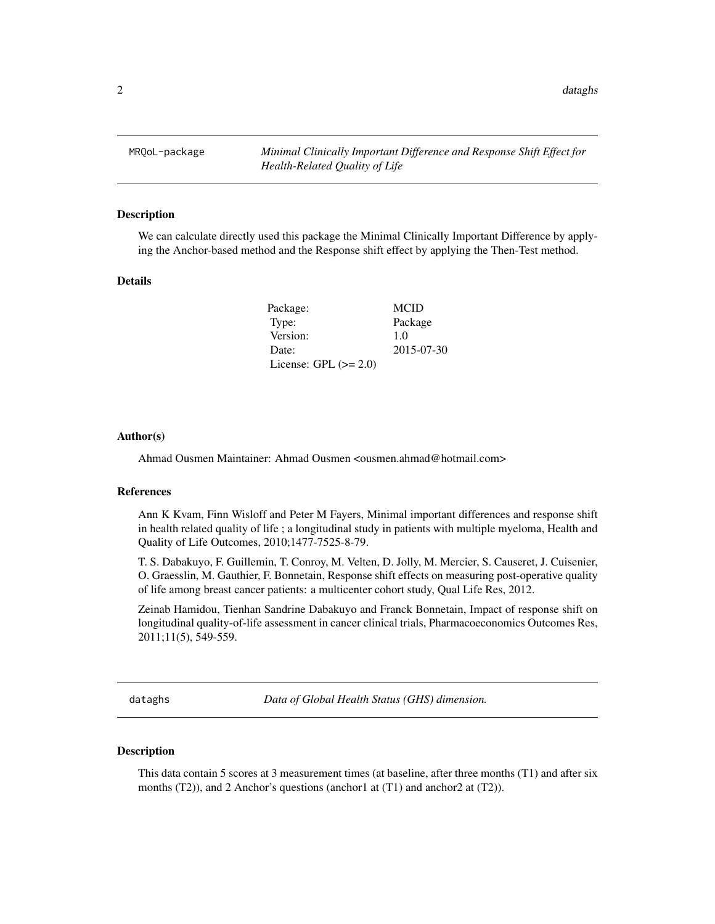<span id="page-1-0"></span>MRQoL-package *Minimal Clinically Important Difference and Response Shift Effect for Health-Related Quality of Life*

#### Description

We can calculate directly used this package the Minimal Clinically Important Difference by applying the Anchor-based method and the Response shift effect by applying the Then-Test method.

### Details

| Package:                | <b>MCID</b> |
|-------------------------|-------------|
| Type:                   | Package     |
| Version:                | 1.0         |
| Date:                   | 2015-07-30  |
| License: GPL $(>= 2.0)$ |             |

#### Author(s)

Ahmad Ousmen Maintainer: Ahmad Ousmen <ousmen.ahmad@hotmail.com>

#### References

Ann K Kvam, Finn Wisloff and Peter M Fayers, Minimal important differences and response shift in health related quality of life ; a longitudinal study in patients with multiple myeloma, Health and Quality of Life Outcomes, 2010;1477-7525-8-79.

T. S. Dabakuyo, F. Guillemin, T. Conroy, M. Velten, D. Jolly, M. Mercier, S. Causeret, J. Cuisenier, O. Graesslin, M. Gauthier, F. Bonnetain, Response shift effects on measuring post-operative quality of life among breast cancer patients: a multicenter cohort study, Qual Life Res, 2012.

Zeinab Hamidou, Tienhan Sandrine Dabakuyo and Franck Bonnetain, Impact of response shift on longitudinal quality-of-life assessment in cancer clinical trials, Pharmacoeconomics Outcomes Res, 2011;11(5), 549-559.

dataghs *Data of Global Health Status (GHS) dimension.*

#### Description

This data contain 5 scores at 3 measurement times (at baseline, after three months (T1) and after six months (T2)), and 2 Anchor's questions (anchor1 at (T1) and anchor2 at (T2)).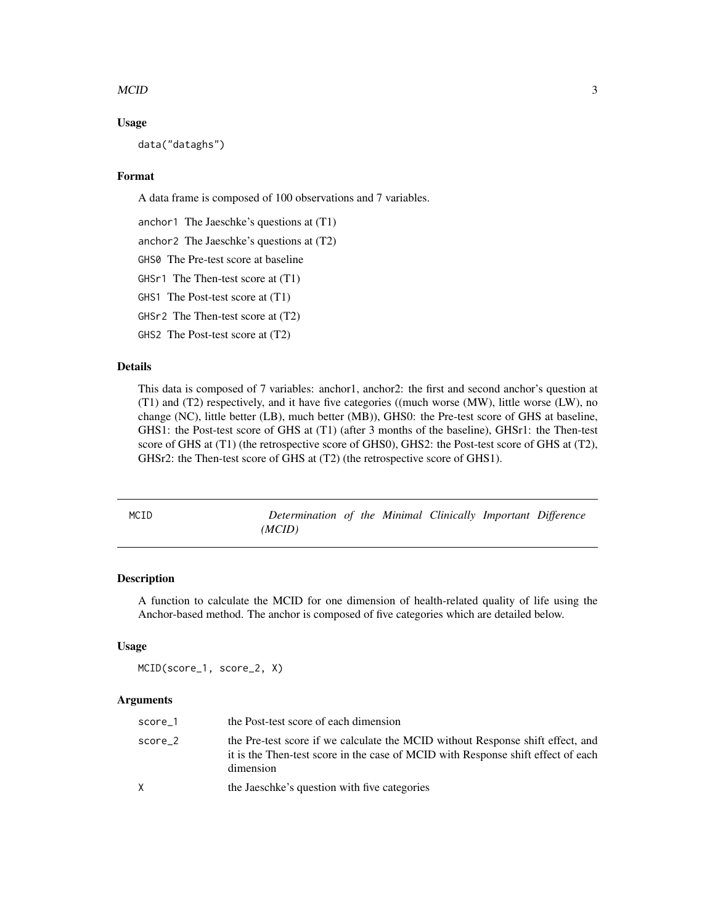#### <span id="page-2-0"></span> $\text{MCID}$  3

#### Usage

data("dataghs")

# Format

A data frame is composed of 100 observations and 7 variables.

anchor1 The Jaeschke's questions at (T1)

anchor2 The Jaeschke's questions at (T2)

GHS0 The Pre-test score at baseline

GHSr1 The Then-test score at (T1)

GHS1 The Post-test score at (T1)

GHSr2 The Then-test score at (T2)

GHS2 The Post-test score at (T2)

# Details

This data is composed of 7 variables: anchor1, anchor2: the first and second anchor's question at (T1) and (T2) respectively, and it have five categories ((much worse (MW), little worse (LW), no change (NC), little better (LB), much better (MB)), GHS0: the Pre-test score of GHS at baseline, GHS1: the Post-test score of GHS at (T1) (after 3 months of the baseline), GHSr1: the Then-test score of GHS at (T1) (the retrospective score of GHS0), GHS2: the Post-test score of GHS at (T2), GHSr2: the Then-test score of GHS at (T2) (the retrospective score of GHS1).

| MCID | Determination of the Minimal Clinically Important Difference |  |  |  |
|------|--------------------------------------------------------------|--|--|--|
|      | (MCID)                                                       |  |  |  |

#### Description

A function to calculate the MCID for one dimension of health-related quality of life using the Anchor-based method. The anchor is composed of five categories which are detailed below.

# Usage

```
MCID(score_1, score_2, X)
```
# Arguments

| score 1 | the Post-test score of each dimension                                                                                                                                           |
|---------|---------------------------------------------------------------------------------------------------------------------------------------------------------------------------------|
| score 2 | the Pre-test score if we calculate the MCID without Response shift effect, and<br>it is the Then-test score in the case of MCID with Response shift effect of each<br>dimension |
| X       | the Jaeschke's question with five categories                                                                                                                                    |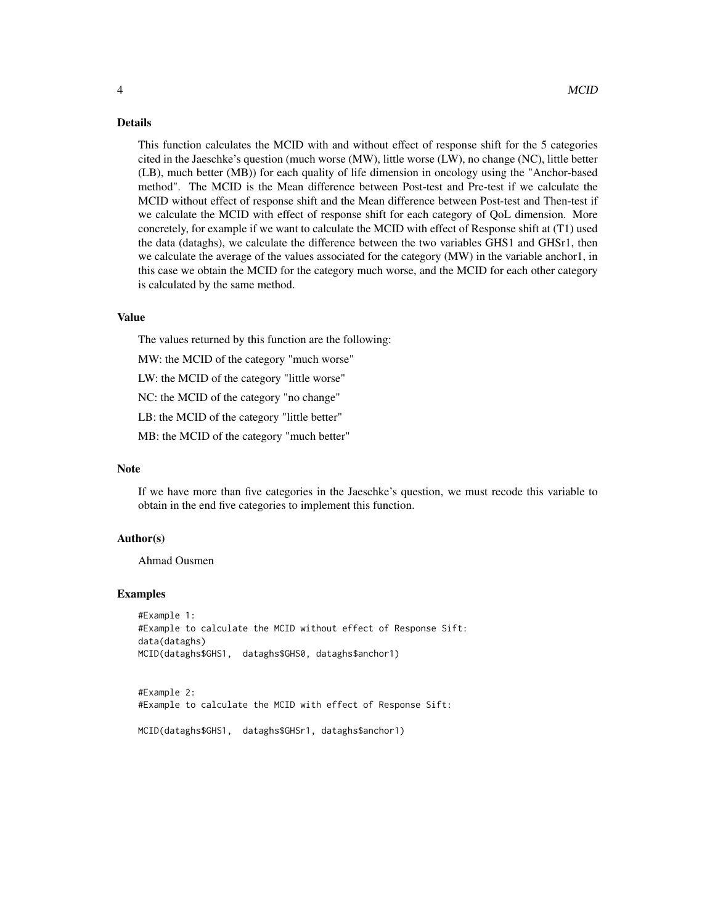#### Details

This function calculates the MCID with and without effect of response shift for the 5 categories cited in the Jaeschke's question (much worse (MW), little worse (LW), no change (NC), little better (LB), much better (MB)) for each quality of life dimension in oncology using the "Anchor-based method". The MCID is the Mean difference between Post-test and Pre-test if we calculate the MCID without effect of response shift and the Mean difference between Post-test and Then-test if we calculate the MCID with effect of response shift for each category of QoL dimension. More concretely, for example if we want to calculate the MCID with effect of Response shift at (T1) used the data (dataghs), we calculate the difference between the two variables GHS1 and GHSr1, then we calculate the average of the values associated for the category (MW) in the variable anchor1, in this case we obtain the MCID for the category much worse, and the MCID for each other category is calculated by the same method.

#### Value

The values returned by this function are the following:

MW: the MCID of the category "much worse"

LW: the MCID of the category "little worse"

NC: the MCID of the category "no change"

LB: the MCID of the category "little better"

MB: the MCID of the category "much better"

# **Note**

If we have more than five categories in the Jaeschke's question, we must recode this variable to obtain in the end five categories to implement this function.

#### Author(s)

Ahmad Ousmen

#### Examples

```
#Example 1:
#Example to calculate the MCID without effect of Response Sift:
data(dataghs)
MCID(dataghs$GHS1, dataghs$GHS0, dataghs$anchor1)
```
#Example 2: #Example to calculate the MCID with effect of Response Sift:

```
MCID(dataghs$GHS1, dataghs$GHSr1, dataghs$anchor1)
```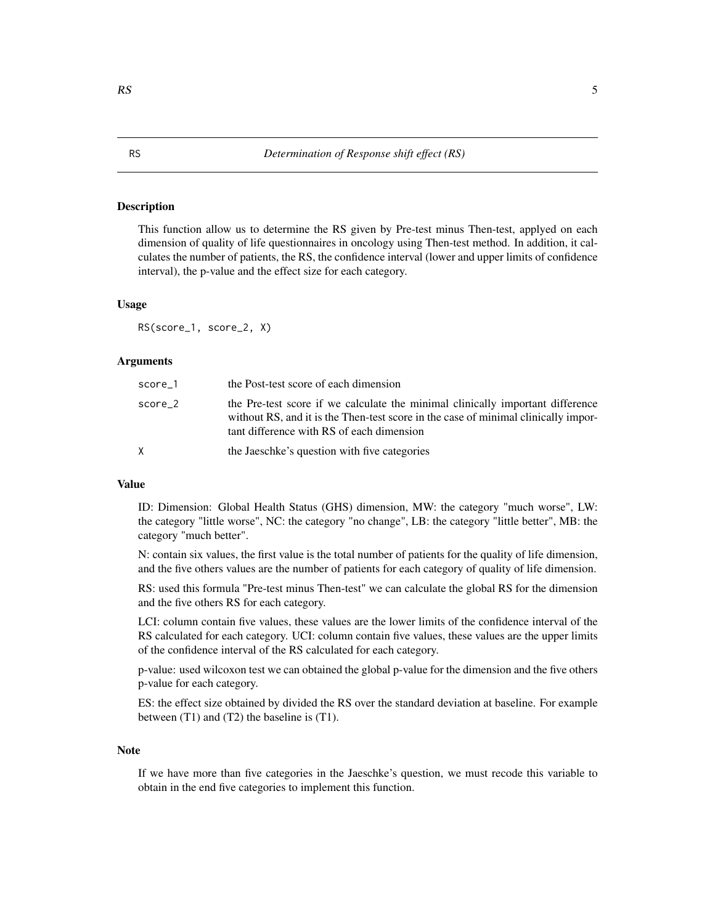#### <span id="page-4-0"></span>Description

This function allow us to determine the RS given by Pre-test minus Then-test, applyed on each dimension of quality of life questionnaires in oncology using Then-test method. In addition, it calculates the number of patients, the RS, the confidence interval (lower and upper limits of confidence interval), the p-value and the effect size for each category.

#### Usage

RS(score\_1, score\_2, X)

#### Arguments

| score_1   | the Post-test score of each dimension                                                                                                                                                                             |
|-----------|-------------------------------------------------------------------------------------------------------------------------------------------------------------------------------------------------------------------|
| $score_2$ | the Pre-test score if we calculate the minimal clinically important difference<br>without RS, and it is the Then-test score in the case of minimal clinically impor-<br>tant difference with RS of each dimension |
| X         | the Jaeschke's question with five categories                                                                                                                                                                      |

#### Value

ID: Dimension: Global Health Status (GHS) dimension, MW: the category "much worse", LW: the category "little worse", NC: the category "no change", LB: the category "little better", MB: the category "much better".

N: contain six values, the first value is the total number of patients for the quality of life dimension, and the five others values are the number of patients for each category of quality of life dimension.

RS: used this formula "Pre-test minus Then-test" we can calculate the global RS for the dimension and the five others RS for each category.

LCI: column contain five values, these values are the lower limits of the confidence interval of the RS calculated for each category. UCI: column contain five values, these values are the upper limits of the confidence interval of the RS calculated for each category.

p-value: used wilcoxon test we can obtained the global p-value for the dimension and the five others p-value for each category.

ES: the effect size obtained by divided the RS over the standard deviation at baseline. For example between (T1) and (T2) the baseline is (T1).

# Note

If we have more than five categories in the Jaeschke's question, we must recode this variable to obtain in the end five categories to implement this function.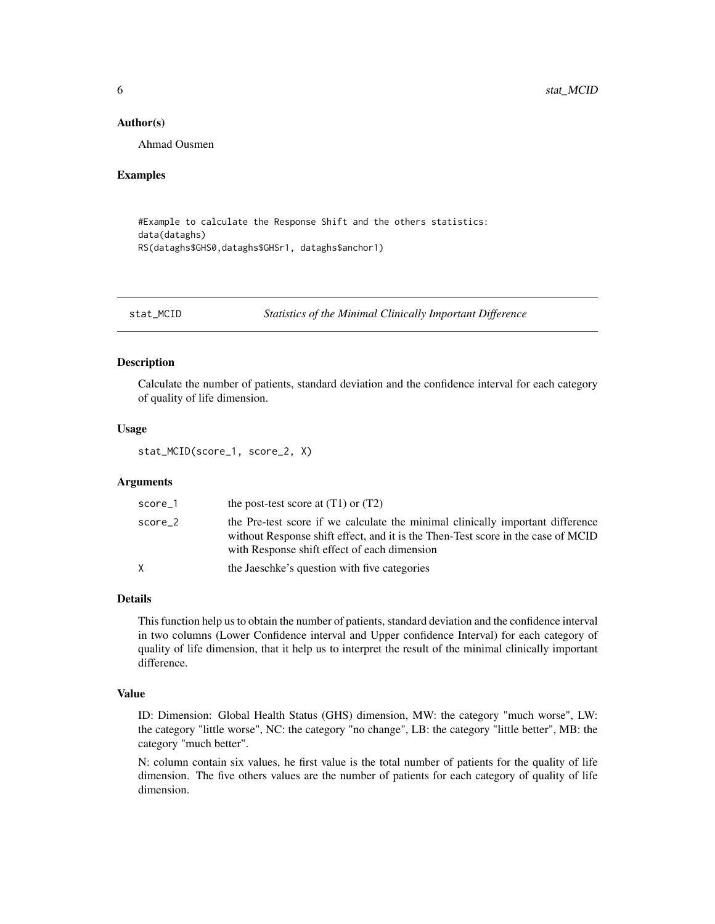#### <span id="page-5-0"></span>Author(s)

Ahmad Ousmen

#### Examples

#Example to calculate the Response Shift and the others statistics: data(dataghs) RS(dataghs\$GHS0,dataghs\$GHSr1, dataghs\$anchor1)

stat\_MCID *Statistics of the Minimal Clinically Important Difference*

#### Description

Calculate the number of patients, standard deviation and the confidence interval for each category of quality of life dimension.

# Usage

stat\_MCID(score\_1, score\_2, X)

# Arguments

| score_1 | the post-test score at $(T1)$ or $(T2)$                                                                                                                                                                            |
|---------|--------------------------------------------------------------------------------------------------------------------------------------------------------------------------------------------------------------------|
| score_2 | the Pre-test score if we calculate the minimal clinically important difference<br>without Response shift effect, and it is the Then-Test score in the case of MCID<br>with Response shift effect of each dimension |
| X       | the Jaeschke's question with five categories                                                                                                                                                                       |

#### Details

This function help us to obtain the number of patients, standard deviation and the confidence interval in two columns (Lower Confidence interval and Upper confidence Interval) for each category of quality of life dimension, that it help us to interpret the result of the minimal clinically important difference.

#### Value

ID: Dimension: Global Health Status (GHS) dimension, MW: the category "much worse", LW: the category "little worse", NC: the category "no change", LB: the category "little better", MB: the category "much better".

N: column contain six values, he first value is the total number of patients for the quality of life dimension. The five others values are the number of patients for each category of quality of life dimension.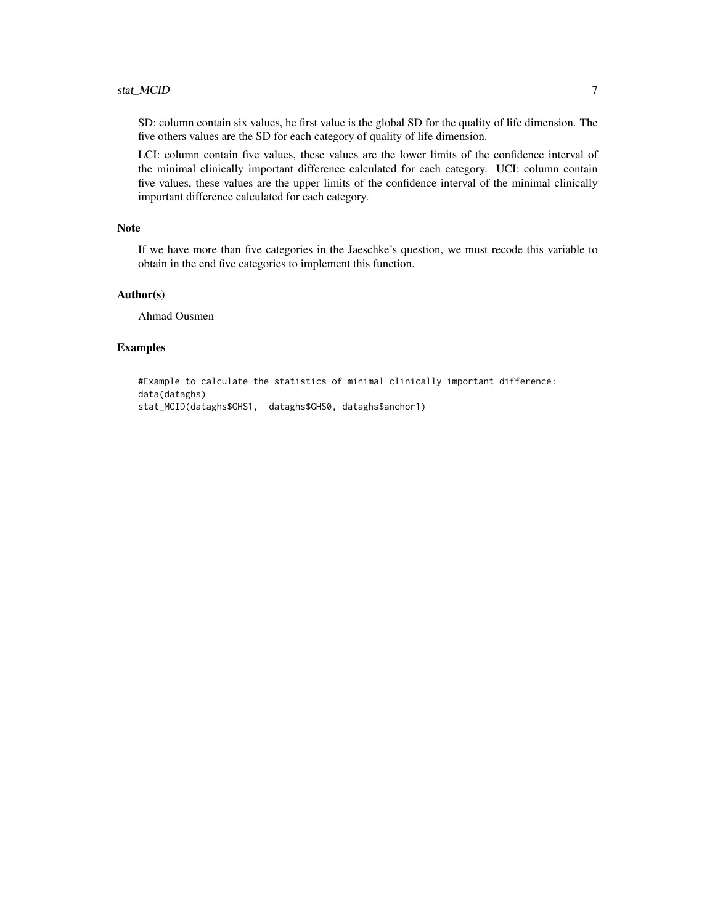# stat\_MCID 7

SD: column contain six values, he first value is the global SD for the quality of life dimension. The five others values are the SD for each category of quality of life dimension.

LCI: column contain five values, these values are the lower limits of the confidence interval of the minimal clinically important difference calculated for each category. UCI: column contain five values, these values are the upper limits of the confidence interval of the minimal clinically important difference calculated for each category.

#### Note

If we have more than five categories in the Jaeschke's question, we must recode this variable to obtain in the end five categories to implement this function.

### Author(s)

Ahmad Ousmen

#### Examples

```
#Example to calculate the statistics of minimal clinically important difference:
data(dataghs)
stat_MCID(dataghs$GHS1, dataghs$GHS0, dataghs$anchor1)
```